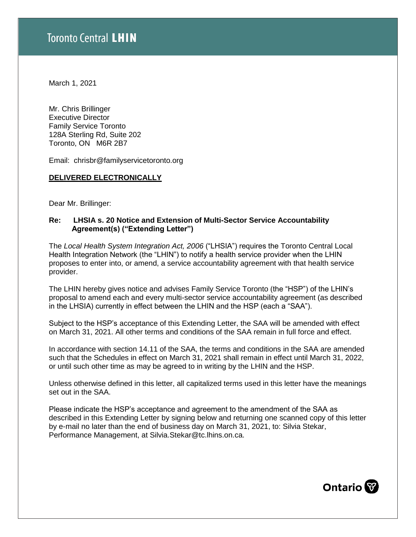March 1, 2021

Mr. Chris Brillinger Executive Director Family Service Toronto 128A Sterling Rd, Suite 202 Toronto, ON M6R 2B7

Email: chrisbr@familyservicetoronto.org

#### **DELIVERED ELECTRONICALLY**

Dear Mr. Brillinger:

### **Re: LHSIA s. 20 Notice and Extension of Multi-Sector Service Accountability Agreement(s) ("Extending Letter")**

The *Local Health System Integration Act, 2006* ("LHSIA") requires the Toronto Central Local Health Integration Network (the "LHIN") to notify a health service provider when the LHIN proposes to enter into, or amend, a service accountability agreement with that health service provider.

The LHIN hereby gives notice and advises Family Service Toronto (the "HSP") of the LHIN's proposal to amend each and every multi-sector service accountability agreement (as described in the LHSIA) currently in effect between the LHIN and the HSP (each a "SAA").

Subject to the HSP's acceptance of this Extending Letter, the SAA will be amended with effect on March 31, 2021. All other terms and conditions of the SAA remain in full force and effect.

In accordance with section 14.11 of the SAA, the terms and conditions in the SAA are amended such that the Schedules in effect on March 31, 2021 shall remain in effect until March 31, 2022, or until such other time as may be agreed to in writing by the LHIN and the HSP.

Unless otherwise defined in this letter, all capitalized terms used in this letter have the meanings set out in the SAA.

Please indicate the HSP's acceptance and agreement to the amendment of the SAA as described in this Extending Letter by signing below and returning one scanned copy of this letter by e-mail no later than the end of business day on March 31, 2021, to: Silvia Stekar, Performance Management, at Silvia.Stekar@tc.lhins.on.ca.

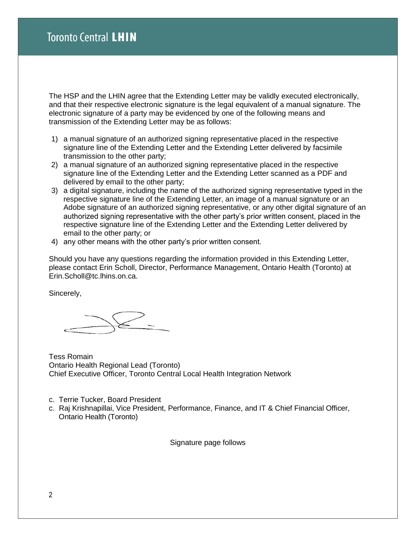The HSP and the LHIN agree that the Extending Letter may be validly executed electronically, and that their respective electronic signature is the legal equivalent of a manual signature. The electronic signature of a party may be evidenced by one of the following means and transmission of the Extending Letter may be as follows:

- 1) a manual signature of an authorized signing representative placed in the respective signature line of the Extending Letter and the Extending Letter delivered by facsimile transmission to the other party;
- 2) a manual signature of an authorized signing representative placed in the respective signature line of the Extending Letter and the Extending Letter scanned as a PDF and delivered by email to the other party;
- 3) a digital signature, including the name of the authorized signing representative typed in the respective signature line of the Extending Letter, an image of a manual signature or an Adobe signature of an authorized signing representative, or any other digital signature of an authorized signing representative with the other party's prior written consent, placed in the respective signature line of the Extending Letter and the Extending Letter delivered by email to the other party; or
- 4) any other means with the other party's prior written consent.

Should you have any questions regarding the information provided in this Extending Letter, please contact Erin Scholl, Director, Performance Management, Ontario Health (Toronto) at Erin.Scholl@tc.lhins.on.ca.

Sincerely,

Tess Romain Ontario Health Regional Lead (Toronto) Chief Executive Officer, Toronto Central Local Health Integration Network

- c. Terrie Tucker, Board President
- c. Raj Krishnapillai, Vice President, Performance, Finance, and IT & Chief Financial Officer, Ontario Health (Toronto)

Signature page follows